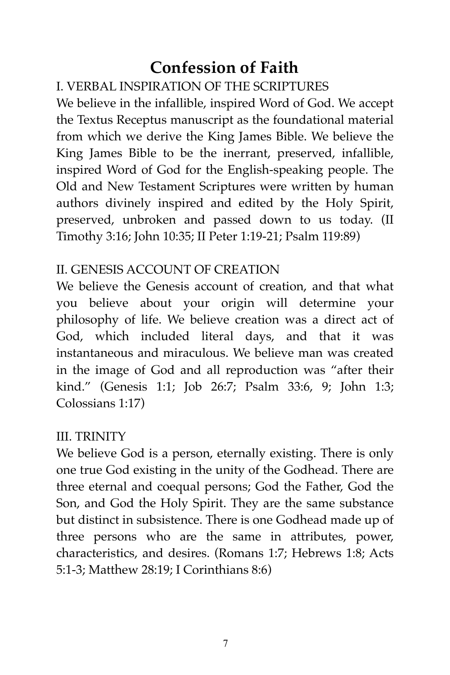# **Confession of Faith**

# I. VERBAL INSPIRATION OF THE SCRIPTURES

We believe in the infallible, inspired Word of God. We accept the Textus Receptus manuscript as the foundational material from which we derive the King James Bible. We believe the King James Bible to be the inerrant, preserved, infallible, inspired Word of God for the English-speaking people. The Old and New Testament Scriptures were written by human authors divinely inspired and edited by the Holy Spirit, preserved, unbroken and passed down to us today. (II Timothy 3:16; John 10:35; II Peter 1:19-21; Psalm 119:89)

#### II. GENESIS ACCOUNT OF CREATION

We believe the Genesis account of creation, and that what you believe about your origin will determine your philosophy of life. We believe creation was a direct act of God, which included literal days, and that it was instantaneous and miraculous. We believe man was created in the image of God and all reproduction was "after their kind." (Genesis 1:1; Job 26:7; Psalm 33:6, 9; John 1:3; Colossians 1:17)

#### III. TRINITY

We believe God is a person, eternally existing. There is only one true God existing in the unity of the Godhead. There are three eternal and coequal persons; God the Father, God the Son, and God the Holy Spirit. They are the same substance but distinct in subsistence. There is one Godhead made up of three persons who are the same in attributes, power, characteristics, and desires. (Romans 1:7; Hebrews 1:8; Acts 5:1-3; Matthew 28:19; I Corinthians 8:6)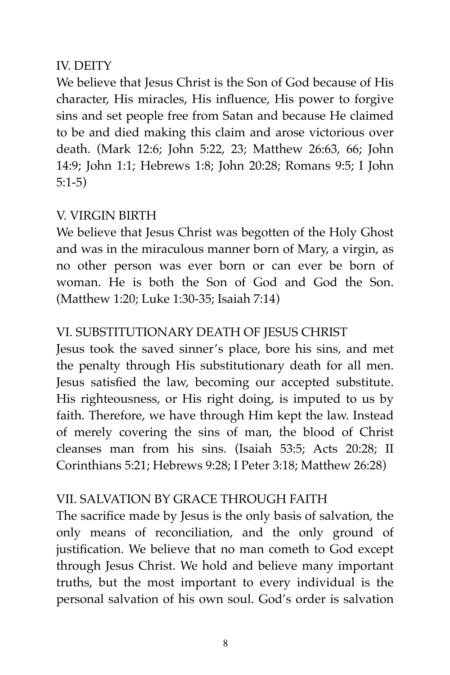# IV. DEITY

We believe that Jesus Christ is the Son of God because of His character, His miracles, His influence, His power to forgive sins and set people free from Satan and because He claimed to be and died making this claim and arose victorious over death. (Mark 12:6; John 5:22, 23; Matthew 26:63, 66; John 14:9; John 1:1; Hebrews 1:8; John 20:28; Romans 9:5; I John 5:1-5)

# V. VIRGIN BIRTH

We believe that Jesus Christ was begotten of the Holy Ghost and was in the miraculous manner born of Mary, a virgin, as no other person was ever born or can ever be born of woman. He is both the Son of God and God the Son. (Matthew 1:20; Luke 1:30-35; Isaiah 7:14)

# VI. SUBSTITUTIONARY DEATH OF JESUS CHRIST

Jesus took the saved sinner's place, bore his sins, and met the penalty through His substitutionary death for all men. Jesus satisfied the law, becoming our accepted substitute. His righteousness, or His right doing, is imputed to us by faith. Therefore, we have through Him kept the law. Instead of merely covering the sins of man, the blood of Christ cleanses man from his sins. (Isaiah 53:5; Acts 20:28; II Corinthians 5:21; Hebrews 9:28; I Peter 3:18; Matthew 26:28)

# VII. SALVATION BY GRACE THROUGH FAITH

The sacrifice made by Jesus is the only basis of salvation, the only means of reconciliation, and the only ground of justification. We believe that no man cometh to God except through Jesus Christ. We hold and believe many important truths, but the most important to every individual is the personal salvation of his own soul. God's order is salvation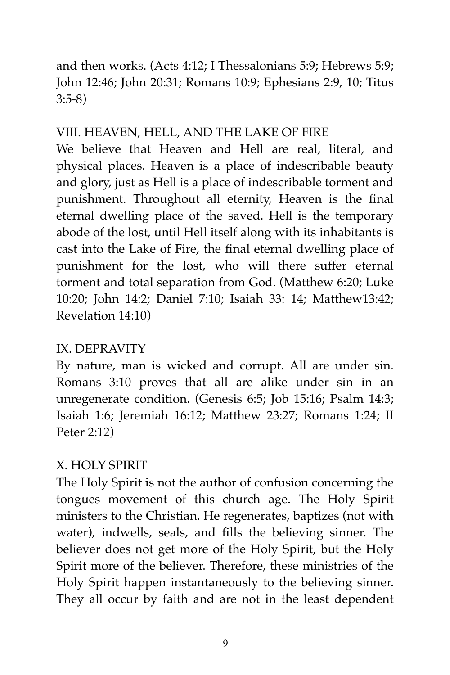and then works. (Acts 4:12; I Thessalonians 5:9; Hebrews 5:9; John 12:46; John 20:31; Romans 10:9; Ephesians 2:9, 10; Titus 3:5-8)

# VIII. HEAVEN, HELL, AND THE LAKE OF FIRE

We believe that Heaven and Hell are real, literal, and physical places. Heaven is a place of indescribable beauty and glory, just as Hell is a place of indescribable torment and punishment. Throughout all eternity, Heaven is the final eternal dwelling place of the saved. Hell is the temporary abode of the lost, until Hell itself along with its inhabitants is cast into the Lake of Fire, the final eternal dwelling place of punishment for the lost, who will there suffer eternal torment and total separation from God. (Matthew 6:20; Luke 10:20; John 14:2; Daniel 7:10; Isaiah 33: 14; Matthew13:42; Revelation 14:10)

# IX. DEPRAVITY

By nature, man is wicked and corrupt. All are under sin. Romans 3:10 proves that all are alike under sin in an unregenerate condition. (Genesis 6:5; Job 15:16; Psalm 14:3; Isaiah 1:6; Jeremiah 16:12; Matthew 23:27; Romans 1:24; II Peter 2:12)

# X. HOLY SPIRIT

The Holy Spirit is not the author of confusion concerning the tongues movement of this church age. The Holy Spirit ministers to the Christian. He regenerates, baptizes (not with water), indwells, seals, and fills the believing sinner. The believer does not get more of the Holy Spirit, but the Holy Spirit more of the believer. Therefore, these ministries of the Holy Spirit happen instantaneously to the believing sinner. They all occur by faith and are not in the least dependent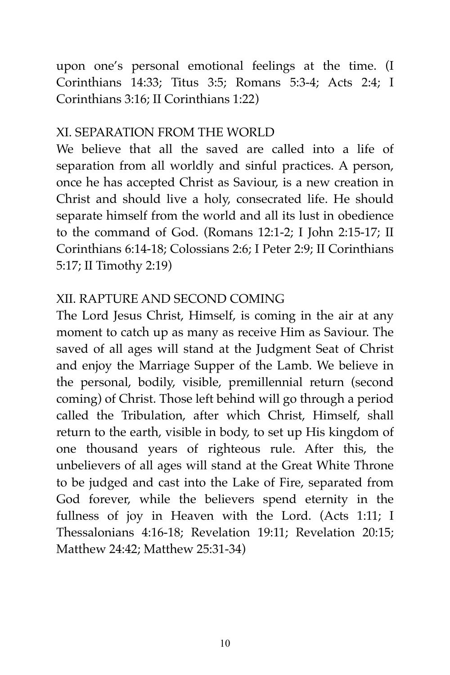upon one's personal emotional feelings at the time. (I Corinthians 14:33; Titus 3:5; Romans 5:3-4; Acts 2:4; I Corinthians 3:16; II Corinthians 1:22)

# XI. SEPARATION FROM THE WORLD

We believe that all the saved are called into a life of separation from all worldly and sinful practices. A person, once he has accepted Christ as Saviour, is a new creation in Christ and should live a holy, consecrated life. He should separate himself from the world and all its lust in obedience to the command of God. (Romans 12:1-2; I John 2:15-17; II Corinthians 6:14-18; Colossians 2:6; I Peter 2:9; II Corinthians 5:17; II Timothy 2:19)

# XII. RAPTURE AND SECOND COMING

The Lord Jesus Christ, Himself, is coming in the air at any moment to catch up as many as receive Him as Saviour. The saved of all ages will stand at the Judgment Seat of Christ and enjoy the Marriage Supper of the Lamb. We believe in the personal, bodily, visible, premillennial return (second coming) of Christ. Those left behind will go through a period called the Tribulation, after which Christ, Himself, shall return to the earth, visible in body, to set up His kingdom of one thousand years of righteous rule. After this, the unbelievers of all ages will stand at the Great White Throne to be judged and cast into the Lake of Fire, separated from God forever, while the believers spend eternity in the fullness of joy in Heaven with the Lord. (Acts 1:11; I Thessalonians 4:16-18; Revelation 19:11; Revelation 20:15; Matthew 24:42; Matthew 25:31-34)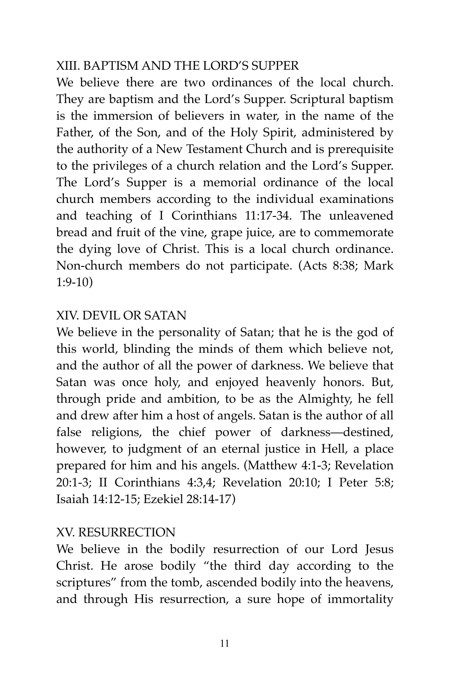# XIII. BAPTISM AND THE LORD'S SUPPER

We believe there are two ordinances of the local church. They are baptism and the Lord's Supper. Scriptural baptism is the immersion of believers in water, in the name of the Father, of the Son, and of the Holy Spirit, administered by the authority of a New Testament Church and is prerequisite to the privileges of a church relation and the Lord's Supper. The Lord's Supper is a memorial ordinance of the local church members according to the individual examinations and teaching of I Corinthians 11:17-34. The unleavened bread and fruit of the vine, grape juice, are to commemorate the dying love of Christ. This is a local church ordinance. Non-church members do not participate. (Acts 8:38; Mark 1:9-10)

#### XIV. DEVIL OR SATAN

We believe in the personality of Satan; that he is the god of this world, blinding the minds of them which believe not, and the author of all the power of darkness. We believe that Satan was once holy, and enjoyed heavenly honors. But, through pride and ambition, to be as the Almighty, he fell and drew after him a host of angels. Satan is the author of all false religions, the chief power of darkness—destined, however, to judgment of an eternal justice in Hell, a place prepared for him and his angels. (Matthew 4:1-3; Revelation 20:1-3; II Corinthians 4:3,4; Revelation 20:10; I Peter 5:8; Isaiah 14:12-15; Ezekiel 28:14-17)

#### XV. RESURRECTION

We believe in the bodily resurrection of our Lord Jesus Christ. He arose bodily "the third day according to the scriptures" from the tomb, ascended bodily into the heavens, and through His resurrection, a sure hope of immortality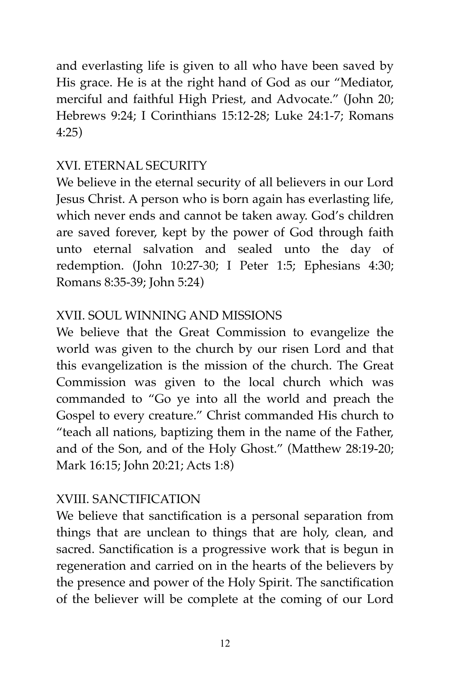and everlasting life is given to all who have been saved by His grace. He is at the right hand of God as our "Mediator, merciful and faithful High Priest, and Advocate." (John 20; Hebrews 9:24; I Corinthians 15:12-28; Luke 24:1-7; Romans 4:25)

# XVI. ETERNAL SECURITY

We believe in the eternal security of all believers in our Lord Jesus Christ. A person who is born again has everlasting life, which never ends and cannot be taken away. God's children are saved forever, kept by the power of God through faith unto eternal salvation and sealed unto the day of redemption. (John 10:27-30; I Peter 1:5; Ephesians 4:30; Romans 8:35-39; John 5:24)

# XVII. SOUL WINNING AND MISSIONS

We believe that the Great Commission to evangelize the world was given to the church by our risen Lord and that this evangelization is the mission of the church. The Great Commission was given to the local church which was commanded to "Go ye into all the world and preach the Gospel to every creature." Christ commanded His church to "teach all nations, baptizing them in the name of the Father, and of the Son, and of the Holy Ghost." (Matthew 28:19-20; Mark 16:15; John 20:21; Acts 1:8)

# XVIII. SANCTIFICATION

We believe that sanctification is a personal separation from things that are unclean to things that are holy, clean, and sacred. Sanctification is a progressive work that is begun in regeneration and carried on in the hearts of the believers by the presence and power of the Holy Spirit. The sanctification of the believer will be complete at the coming of our Lord